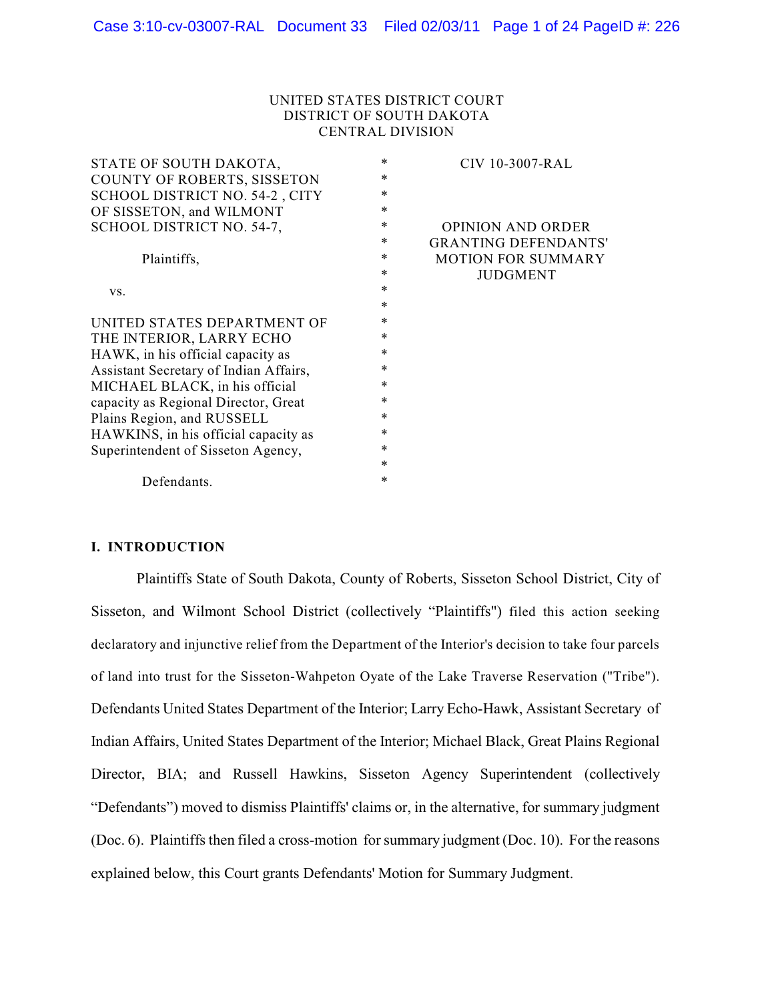## UNITED STATES DISTRICT COURT DISTRICT OF SOUTH DAKOTA CENTRAL DIVISION

| *      | CIV 10-3007-RAL             |
|--------|-----------------------------|
| *      |                             |
| *      |                             |
| *      |                             |
| *      | <b>OPINION AND ORDER</b>    |
| ∗      | <b>GRANTING DEFENDANTS'</b> |
| ∗      | <b>MOTION FOR SUMMARY</b>   |
| *      | <b>JUDGMENT</b>             |
| $\ast$ |                             |
| *      |                             |
| *      |                             |
| *      |                             |
| *      |                             |
| *      |                             |
| $\ast$ |                             |
| $\ast$ |                             |
| *      |                             |
| *      |                             |
| *      |                             |
| *      |                             |
| *      |                             |
|        |                             |

### **I. INTRODUCTION**

Plaintiffs State of South Dakota, County of Roberts, Sisseton School District, City of Sisseton, and Wilmont School District (collectively "Plaintiffs") filed this action seeking declaratory and injunctive relief from the Department of the Interior's decision to take four parcels of land into trust for the Sisseton-Wahpeton Oyate of the Lake Traverse Reservation ("Tribe"). Defendants United States Department of the Interior; Larry Echo-Hawk, Assistant Secretary of Indian Affairs, United States Department of the Interior; Michael Black, Great Plains Regional Director, BIA; and Russell Hawkins, Sisseton Agency Superintendent (collectively "Defendants") moved to dismiss Plaintiffs' claims or, in the alternative, for summary judgment (Doc. 6). Plaintiffs then filed a cross-motion for summary judgment (Doc. 10). For the reasons explained below, this Court grants Defendants' Motion for Summary Judgment.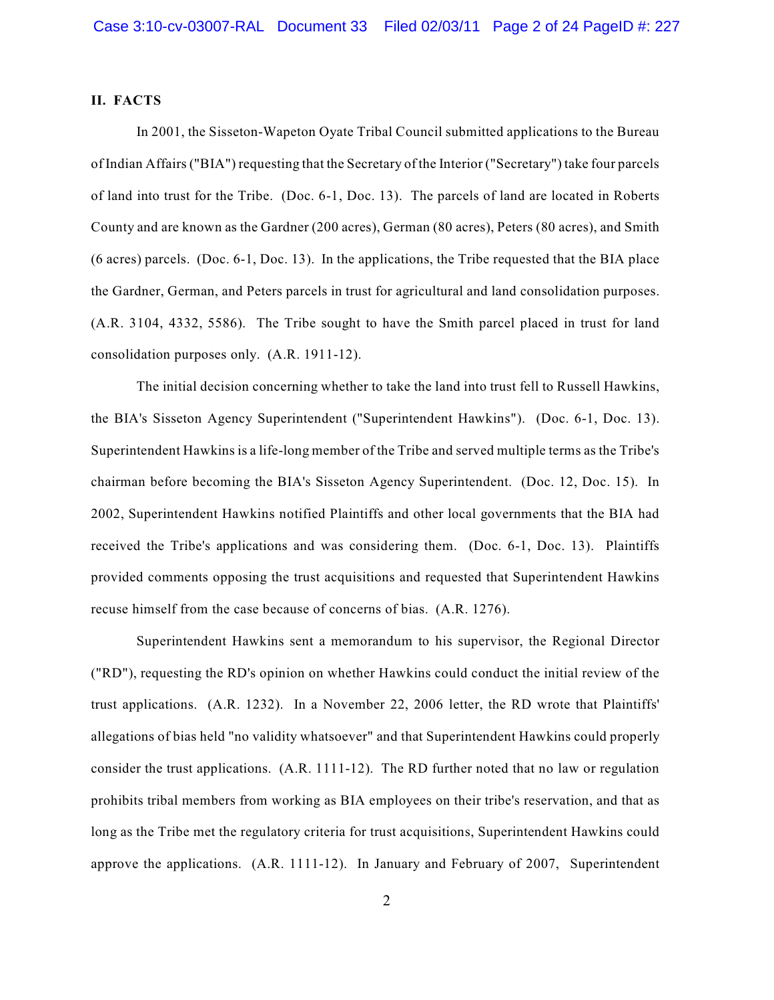### **II. FACTS**

In 2001, the Sisseton-Wapeton Oyate Tribal Council submitted applications to the Bureau of Indian Affairs ("BIA") requesting that the Secretary of the Interior ("Secretary") take four parcels of land into trust for the Tribe. (Doc. 6-1, Doc. 13). The parcels of land are located in Roberts County and are known as the Gardner (200 acres), German (80 acres), Peters (80 acres), and Smith (6 acres) parcels. (Doc. 6-1, Doc. 13). In the applications, the Tribe requested that the BIA place the Gardner, German, and Peters parcels in trust for agricultural and land consolidation purposes. (A.R. 3104, 4332, 5586). The Tribe sought to have the Smith parcel placed in trust for land consolidation purposes only. (A.R. 1911-12).

The initial decision concerning whether to take the land into trust fell to Russell Hawkins, the BIA's Sisseton Agency Superintendent ("Superintendent Hawkins"). (Doc. 6-1, Doc. 13). Superintendent Hawkins is a life-long member of the Tribe and served multiple terms as the Tribe's chairman before becoming the BIA's Sisseton Agency Superintendent. (Doc. 12, Doc. 15). In 2002, Superintendent Hawkins notified Plaintiffs and other local governments that the BIA had received the Tribe's applications and was considering them. (Doc. 6-1, Doc. 13). Plaintiffs provided comments opposing the trust acquisitions and requested that Superintendent Hawkins recuse himself from the case because of concerns of bias. (A.R. 1276).

Superintendent Hawkins sent a memorandum to his supervisor, the Regional Director ("RD"), requesting the RD's opinion on whether Hawkins could conduct the initial review of the trust applications. (A.R. 1232). In a November 22, 2006 letter, the RD wrote that Plaintiffs' allegations of bias held "no validity whatsoever" and that Superintendent Hawkins could properly consider the trust applications. (A.R. 1111-12). The RD further noted that no law or regulation prohibits tribal members from working as BIA employees on their tribe's reservation, and that as long as the Tribe met the regulatory criteria for trust acquisitions, Superintendent Hawkins could approve the applications. (A.R. 1111-12). In January and February of 2007, Superintendent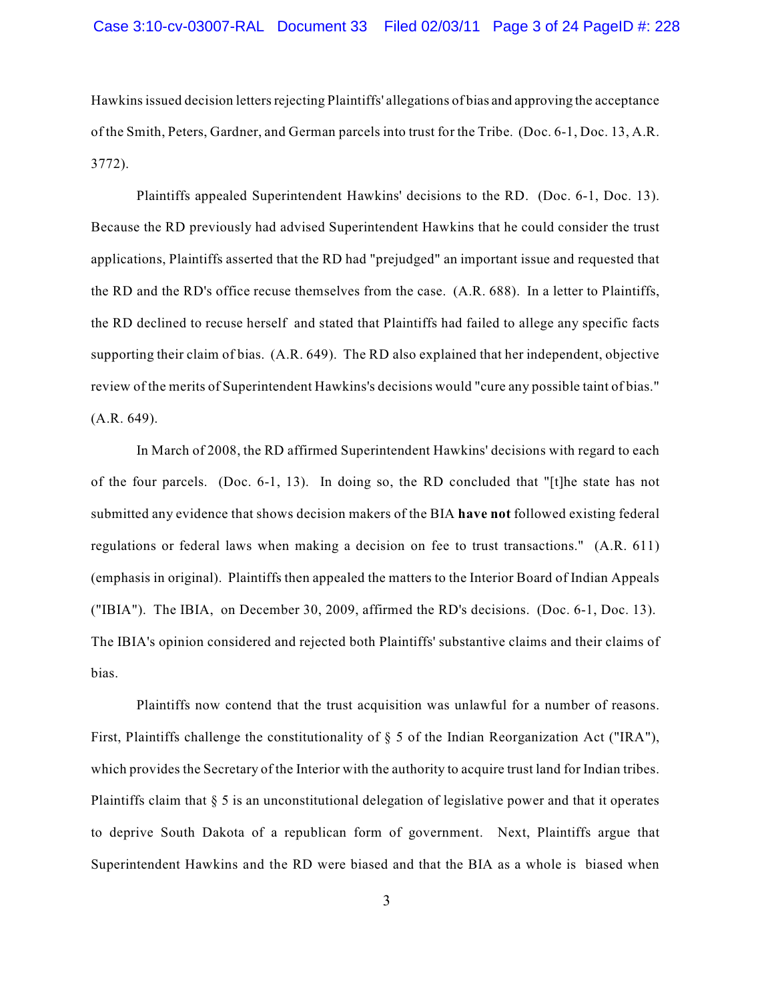Hawkins issued decision letters rejecting Plaintiffs' allegations of bias and approving the acceptance of the Smith, Peters, Gardner, and German parcels into trust for the Tribe. (Doc. 6-1, Doc. 13, A.R. 3772).

Plaintiffs appealed Superintendent Hawkins' decisions to the RD. (Doc. 6-1, Doc. 13). Because the RD previously had advised Superintendent Hawkins that he could consider the trust applications, Plaintiffs asserted that the RD had "prejudged" an important issue and requested that the RD and the RD's office recuse themselves from the case. (A.R. 688). In a letter to Plaintiffs, the RD declined to recuse herself and stated that Plaintiffs had failed to allege any specific facts supporting their claim of bias. (A.R. 649). The RD also explained that her independent, objective review of the merits of Superintendent Hawkins's decisions would "cure any possible taint of bias." (A.R. 649).

In March of 2008, the RD affirmed Superintendent Hawkins' decisions with regard to each of the four parcels. (Doc. 6-1, 13). In doing so, the RD concluded that "[t]he state has not submitted any evidence that shows decision makers of the BIA **have not** followed existing federal regulations or federal laws when making a decision on fee to trust transactions." (A.R. 611) (emphasis in original). Plaintiffs then appealed the matters to the Interior Board of Indian Appeals ("IBIA"). The IBIA, on December 30, 2009, affirmed the RD's decisions. (Doc. 6-1, Doc. 13). The IBIA's opinion considered and rejected both Plaintiffs' substantive claims and their claims of bias.

Plaintiffs now contend that the trust acquisition was unlawful for a number of reasons. First, Plaintiffs challenge the constitutionality of  $\S 5$  of the Indian Reorganization Act ("IRA"), which provides the Secretary of the Interior with the authority to acquire trust land for Indian tribes. Plaintiffs claim that § 5 is an unconstitutional delegation of legislative power and that it operates to deprive South Dakota of a republican form of government. Next, Plaintiffs argue that Superintendent Hawkins and the RD were biased and that the BIA as a whole is biased when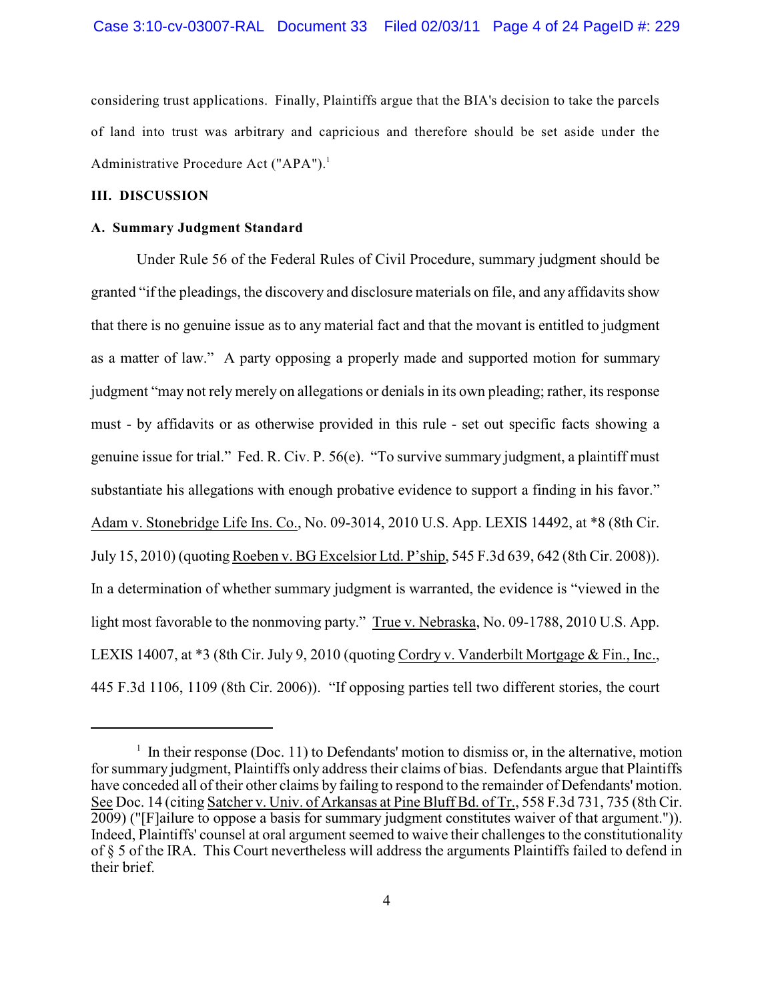considering trust applications. Finally, Plaintiffs argue that the BIA's decision to take the parcels of land into trust was arbitrary and capricious and therefore should be set aside under the Administrative Procedure Act ("APA").<sup>1</sup>

## **III. DISCUSSION**

#### **A. Summary Judgment Standard**

Under Rule 56 of the Federal Rules of Civil Procedure, summary judgment should be granted "if the pleadings, the discovery and disclosure materials on file, and any affidavits show that there is no genuine issue as to any material fact and that the movant is entitled to judgment as a matter of law." A party opposing a properly made and supported motion for summary judgment "may not rely merely on allegations or denials in its own pleading; rather, its response must - by affidavits or as otherwise provided in this rule - set out specific facts showing a genuine issue for trial." Fed. R. Civ. P. 56(e). "To survive summary judgment, a plaintiff must substantiate his allegations with enough probative evidence to support a finding in his favor." Adam v. Stonebridge Life Ins. Co., No. 09-3014, 2010 U.S. App. LEXIS 14492, at \*8 (8th Cir. July 15, 2010) (quoting Roeben v. BG Excelsior Ltd. P'ship, 545 F.3d 639, 642 (8th Cir. 2008)). In a determination of whether summary judgment is warranted, the evidence is "viewed in the light most favorable to the nonmoving party." True v. Nebraska, No. 09-1788, 2010 U.S. App. LEXIS 14007, at \*3 (8th Cir. July 9, 2010 (quoting Cordry v. Vanderbilt Mortgage & Fin., Inc., 445 F.3d 1106, 1109 (8th Cir. 2006)). "If opposing parties tell two different stories, the court

 $\frac{1}{1}$  In their response (Doc. 11) to Defendants' motion to dismiss or, in the alternative, motion for summary judgment, Plaintiffs only address their claims of bias. Defendants argue that Plaintiffs have conceded all of their other claims by failing to respond to the remainder of Defendants' motion. See Doc. 14 (citing Satcher v. Univ. of Arkansas at Pine Bluff Bd. of Tr., 558 F.3d 731, 735 (8th Cir. 2009) ("[F]ailure to oppose a basis for summary judgment constitutes waiver of that argument.")). Indeed, Plaintiffs' counsel at oral argument seemed to waive their challenges to the constitutionality of § 5 of the IRA. This Court nevertheless will address the arguments Plaintiffs failed to defend in their brief.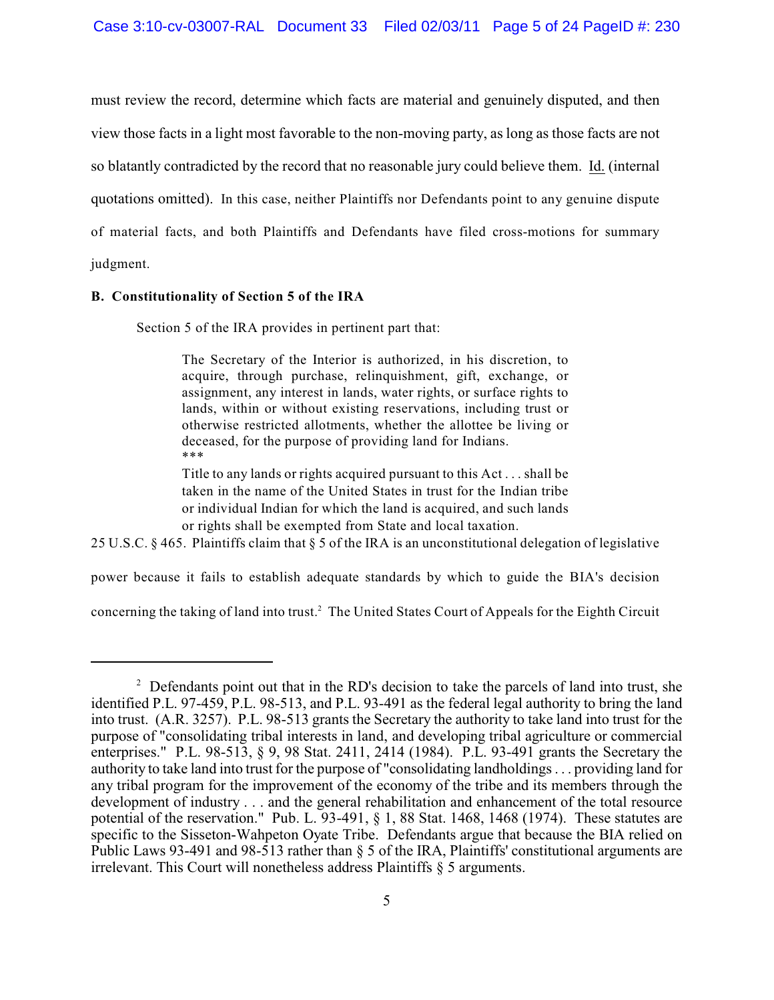must review the record, determine which facts are material and genuinely disputed, and then view those facts in a light most favorable to the non-moving party, as long as those facts are not so blatantly contradicted by the record that no reasonable jury could believe them. Id. (internal quotations omitted).In this case, neither Plaintiffs nor Defendants point to any genuine dispute of material facts, and both Plaintiffs and Defendants have filed cross-motions for summary judgment.

### **B. Constitutionality of Section 5 of the IRA**

Section 5 of the IRA provides in pertinent part that:

The Secretary of the Interior is authorized, in his discretion, to acquire, through purchase, relinquishment, gift, exchange, or assignment, any interest in lands, water rights, or surface rights to lands, within or without existing reservations, including trust or otherwise restricted allotments, whether the allottee be living or deceased, for the purpose of providing land for Indians. \*\*\*

Title to any lands or rights acquired pursuant to this Act . . . shall be taken in the name of the United States in trust for the Indian tribe or individual Indian for which the land is acquired, and such lands or rights shall be exempted from State and local taxation.

25 U.S.C. § 465. Plaintiffs claim that § 5 of the IRA is an unconstitutional delegation of legislative

power because it fails to establish adequate standards by which to guide the BIA's decision

concerning the taking of land into trust.<sup>2</sup> The United States Court of Appeals for the Eighth Circuit

 $\frac{1}{2}$  Defendants point out that in the RD's decision to take the parcels of land into trust, she identified P.L. 97-459, P.L. 98-513, and P.L. 93-491 as the federal legal authority to bring the land into trust. (A.R. 3257). P.L. 98-513 grants the Secretary the authority to take land into trust for the purpose of "consolidating tribal interests in land, and developing tribal agriculture or commercial enterprises." P.L. 98-513, § 9, 98 Stat. 2411, 2414 (1984). P.L. 93-491 grants the Secretary the authority to take land into trust for the purpose of "consolidating landholdings . . . providing land for any tribal program for the improvement of the economy of the tribe and its members through the development of industry . . . and the general rehabilitation and enhancement of the total resource potential of the reservation." Pub. L. 93-491, § 1, 88 Stat. 1468, 1468 (1974). These statutes are specific to the Sisseton-Wahpeton Oyate Tribe. Defendants argue that because the BIA relied on Public Laws 93-491 and 98-513 rather than § 5 of the IRA, Plaintiffs' constitutional arguments are irrelevant. This Court will nonetheless address Plaintiffs § 5 arguments.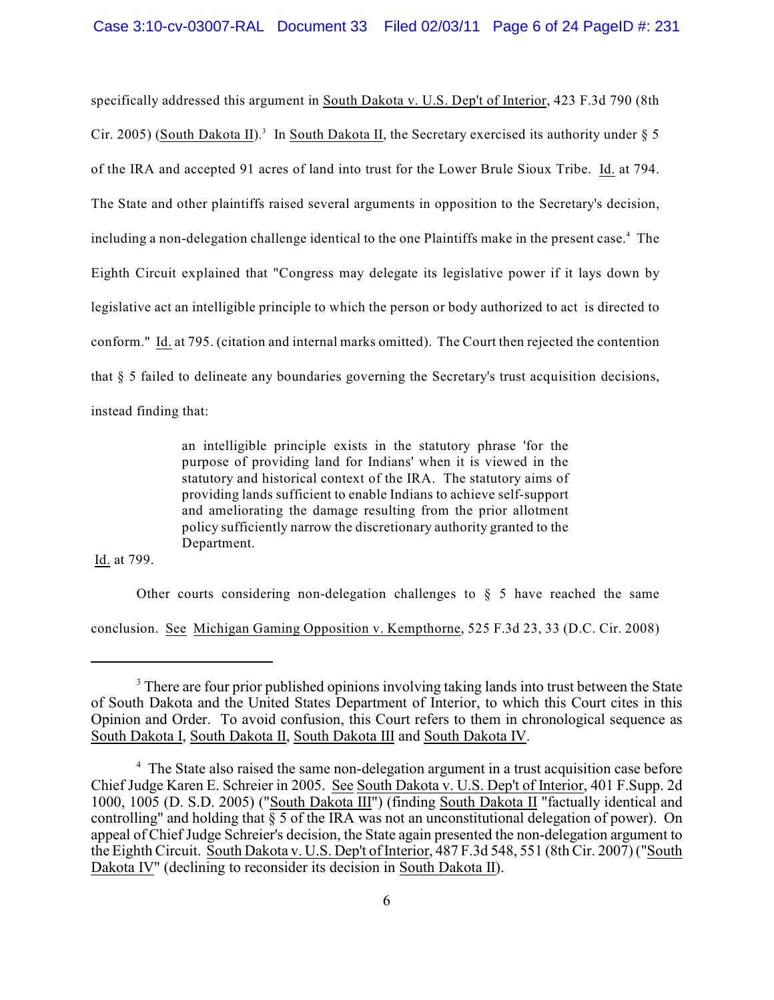specifically addressed this argument in South Dakota v. U.S. Dep't of Interior, 423 F.3d 790 (8th Cir. 2005) (South Dakota II).<sup>3</sup> In South Dakota II, the Secretary exercised its authority under  $\S$  5 of the IRA and accepted 91 acres of land into trust for the Lower Brule Sioux Tribe. Id. at 794. The State and other plaintiffs raised several arguments in opposition to the Secretary's decision, including a non-delegation challenge identical to the one Plaintiffs make in the present case.<sup>4</sup> The Eighth Circuit explained that "Congress may delegate its legislative power if it lays down by legislative act an intelligible principle to which the person or body authorized to act is directed to conform." Id. at 795. (citation and internal marks omitted). The Court then rejected the contention that § 5 failed to delineate any boundaries governing the Secretary's trust acquisition decisions, instead finding that:

> an intelligible principle exists in the statutory phrase 'for the purpose of providing land for Indians' when it is viewed in the statutory and historical context of the IRA. The statutory aims of providing lands sufficient to enable Indians to achieve self-support and ameliorating the damage resulting from the prior allotment policy sufficiently narrow the discretionary authority granted to the Department.

Id. at 799.

Other courts considering non-delegation challenges to  $\S$  5 have reached the same

conclusion. See Michigan Gaming Opposition v. Kempthorne, 525 F.3d 23, 33 (D.C. Cir. 2008)

<sup>&</sup>lt;sup>3</sup> There are four prior published opinions involving taking lands into trust between the State of South Dakota and the United States Department of Interior, to which this Court cites in this Opinion and Order. To avoid confusion, this Court refers to them in chronological sequence as South Dakota I, South Dakota II, South Dakota III and South Dakota IV.

<sup>&</sup>lt;sup>4</sup> The State also raised the same non-delegation argument in a trust acquisition case before Chief Judge Karen E. Schreier in 2005. See South Dakota v. U.S. Dep't of Interior, 401 F.Supp. 2d 1000, 1005 (D. S.D. 2005) ("South Dakota III") (finding South Dakota II "factually identical and controlling" and holding that § 5 of the IRA was not an unconstitutional delegation of power). On appeal of Chief Judge Schreier's decision, the State again presented the non-delegation argument to the Eighth Circuit. South Dakota v. U.S. Dep't of Interior, 487 F.3d 548, 551 (8th Cir. 2007) ("South Dakota IV" (declining to reconsider its decision in South Dakota II).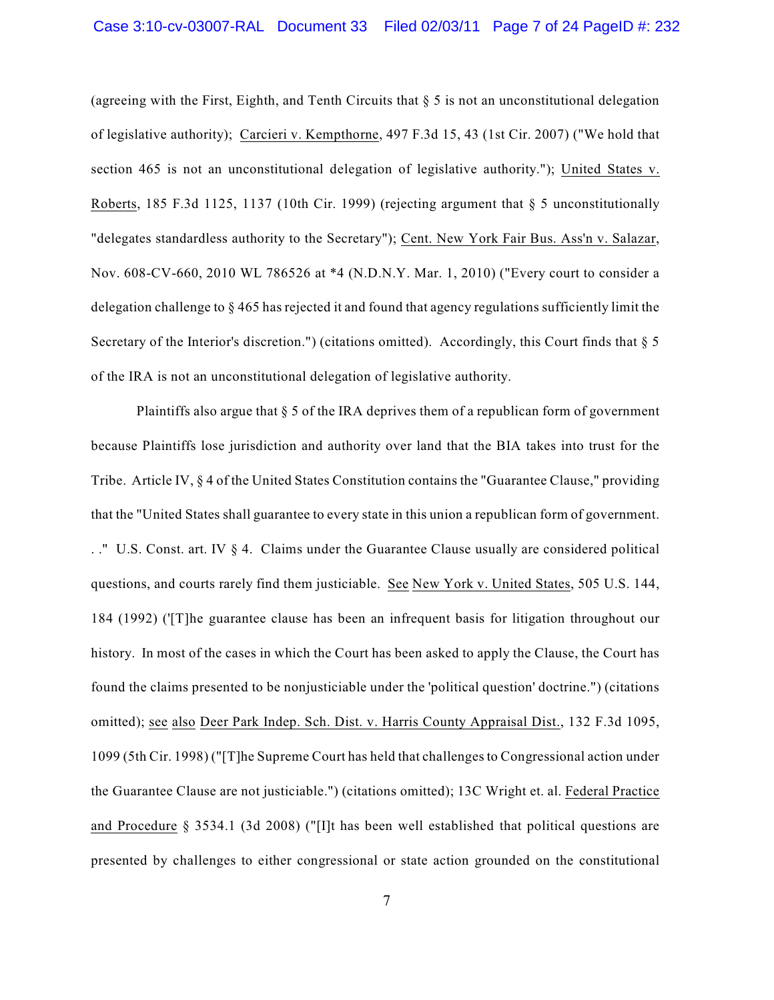(agreeing with the First, Eighth, and Tenth Circuits that  $\S 5$  is not an unconstitutional delegation of legislative authority); Carcieri v. Kempthorne, 497 F.3d 15, 43 (1st Cir. 2007) ("We hold that section 465 is not an unconstitutional delegation of legislative authority."); United States v. Roberts, 185 F.3d 1125, 1137 (10th Cir. 1999) (rejecting argument that § 5 unconstitutionally "delegates standardless authority to the Secretary"); Cent. New York Fair Bus. Ass'n v. Salazar, Nov. 608-CV-660, 2010 WL 786526 at \*4 (N.D.N.Y. Mar. 1, 2010) ("Every court to consider a delegation challenge to § 465 has rejected it and found that agency regulations sufficiently limit the Secretary of the Interior's discretion.") (citations omitted). Accordingly, this Court finds that  $\S 5$ of the IRA is not an unconstitutional delegation of legislative authority.

Plaintiffs also argue that  $\S$  5 of the IRA deprives them of a republican form of government because Plaintiffs lose jurisdiction and authority over land that the BIA takes into trust for the Tribe. Article IV, § 4 of the United States Constitution contains the "Guarantee Clause," providing that the "United States shall guarantee to every state in this union a republican form of government. . ." U.S. Const. art. IV § 4. Claims under the Guarantee Clause usually are considered political questions, and courts rarely find them justiciable. See New York v. United States, 505 U.S. 144, 184 (1992) ('[T]he guarantee clause has been an infrequent basis for litigation throughout our history. In most of the cases in which the Court has been asked to apply the Clause, the Court has found the claims presented to be nonjusticiable under the 'political question' doctrine.") (citations omitted); see also Deer Park Indep. Sch. Dist. v. Harris County Appraisal Dist., 132 F.3d 1095, 1099 (5th Cir. 1998) ("[T]he Supreme Court has held that challengesto Congressional action under the Guarantee Clause are not justiciable.") (citations omitted); 13C Wright et. al. Federal Practice and Procedure § 3534.1 (3d 2008) ("[I]t has been well established that political questions are presented by challenges to either congressional or state action grounded on the constitutional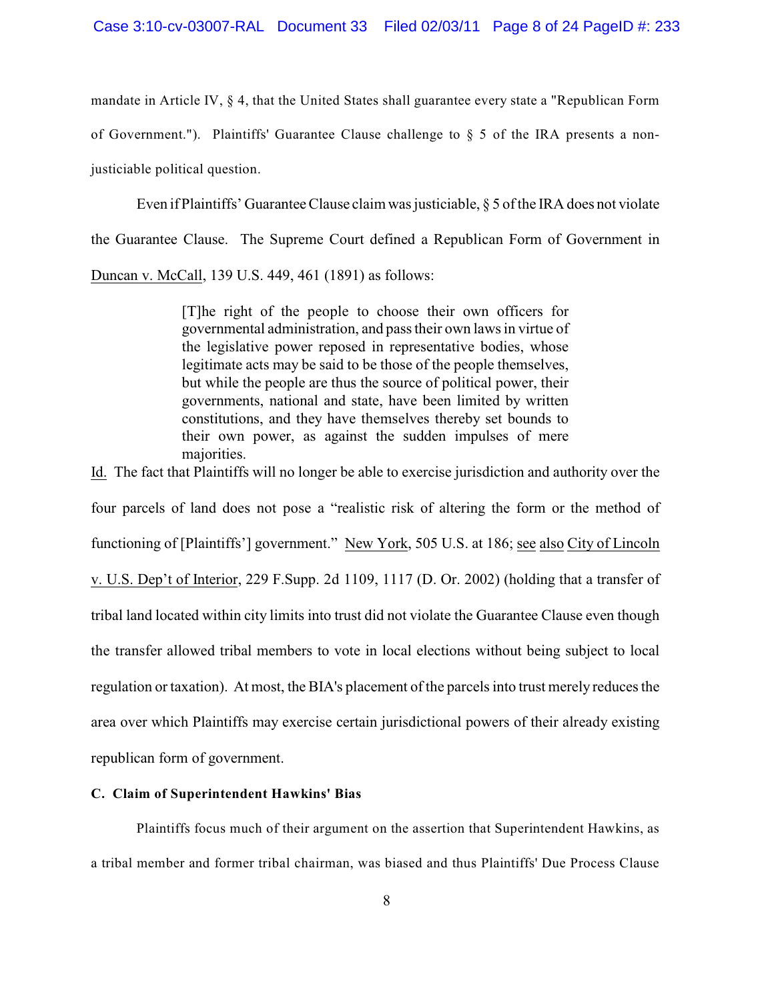mandate in Article IV, § 4, that the United States shall guarantee every state a "Republican Form

of Government."). Plaintiffs' Guarantee Clause challenge to  $\S$  5 of the IRA presents a non-

justiciable political question.

Even if Plaintiffs' Guarantee Clause claim was justiciable, § 5 of the IRA does not violate the Guarantee Clause. The Supreme Court defined a Republican Form of Government in Duncan v. McCall, 139 U.S. 449, 461 (1891) as follows:

> [T]he right of the people to choose their own officers for governmental administration, and pass their own laws in virtue of the legislative power reposed in representative bodies, whose legitimate acts may be said to be those of the people themselves, but while the people are thus the source of political power, their governments, national and state, have been limited by written constitutions, and they have themselves thereby set bounds to their own power, as against the sudden impulses of mere majorities.

Id. The fact that Plaintiffs will no longer be able to exercise jurisdiction and authority over the four parcels of land does not pose a "realistic risk of altering the form or the method of functioning of [Plaintiffs'] government." New York, 505 U.S. at 186; see also City of Lincoln v. U.S. Dep't of Interior, 229 F.Supp. 2d 1109, 1117 (D. Or. 2002) (holding that a transfer of tribal land located within city limits into trust did not violate the Guarantee Clause even though the transfer allowed tribal members to vote in local elections without being subject to local regulation or taxation). At most, the BIA's placement of the parcels into trust merely reduces the area over which Plaintiffs may exercise certain jurisdictional powers of their already existing republican form of government.

# **C. Claim of Superintendent Hawkins' Bias**

Plaintiffs focus much of their argument on the assertion that Superintendent Hawkins, as a tribal member and former tribal chairman, was biased and thus Plaintiffs' Due Process Clause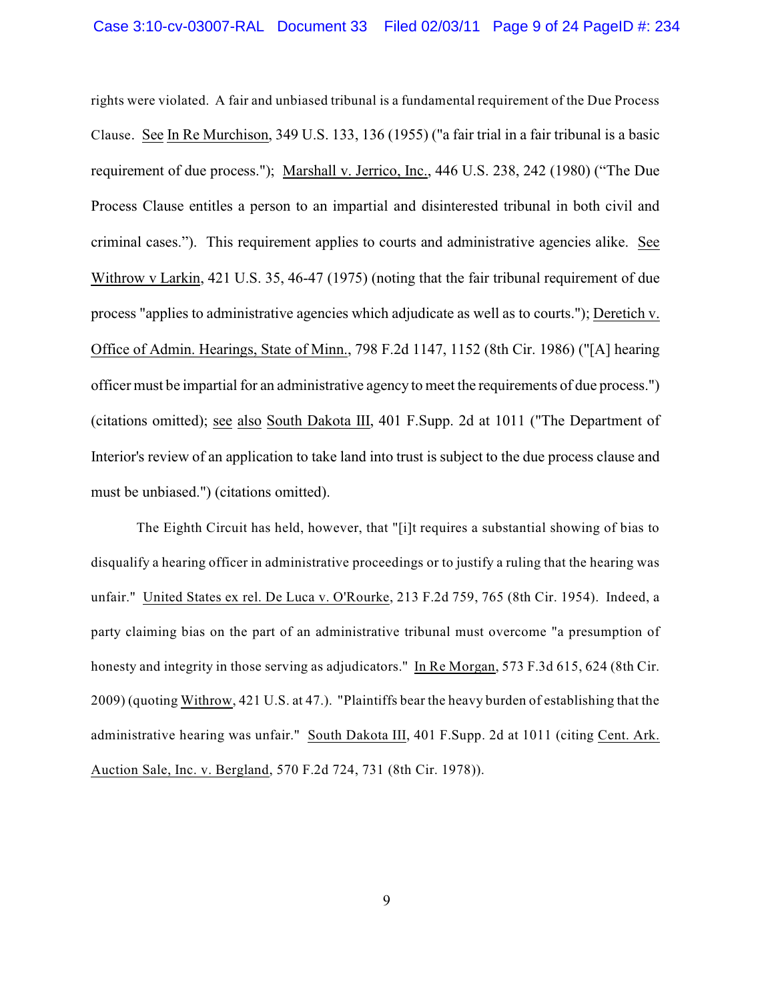rights were violated. A fair and unbiased tribunal is a fundamental requirement of the Due Process Clause. See In Re Murchison, 349 U.S. 133, 136 (1955) ("a fair trial in a fair tribunal is a basic requirement of due process."); Marshall v. Jerrico, Inc., 446 U.S. 238, 242 (1980) ("The Due Process Clause entitles a person to an impartial and disinterested tribunal in both civil and criminal cases."). This requirement applies to courts and administrative agencies alike. See Withrow v Larkin, 421 U.S. 35, 46-47 (1975) (noting that the fair tribunal requirement of due process "applies to administrative agencies which adjudicate as well as to courts."); Deretich v. Office of Admin. Hearings, State of Minn., 798 F.2d 1147, 1152 (8th Cir. 1986) ("[A] hearing officer must be impartial for an administrative agency to meet the requirements of due process.") (citations omitted); see also South Dakota III, 401 F.Supp. 2d at 1011 ("The Department of Interior's review of an application to take land into trust is subject to the due process clause and must be unbiased.") (citations omitted).

The Eighth Circuit has held, however, that "[i]t requires a substantial showing of bias to disqualify a hearing officer in administrative proceedings or to justify a ruling that the hearing was unfair." United States ex rel. De Luca v. O'Rourke, 213 F.2d 759, 765 (8th Cir. 1954). Indeed, a party claiming bias on the part of an administrative tribunal must overcome "a presumption of honesty and integrity in those serving as adjudicators." In Re Morgan, 573 F.3d 615, 624 (8th Cir. 2009) (quoting Withrow, 421 U.S. at 47.). "Plaintiffs bear the heavy burden of establishing that the administrative hearing was unfair." South Dakota III, 401 F.Supp. 2d at 1011 (citing Cent. Ark. Auction Sale, Inc. v. Bergland, 570 F.2d 724, 731 (8th Cir. 1978)).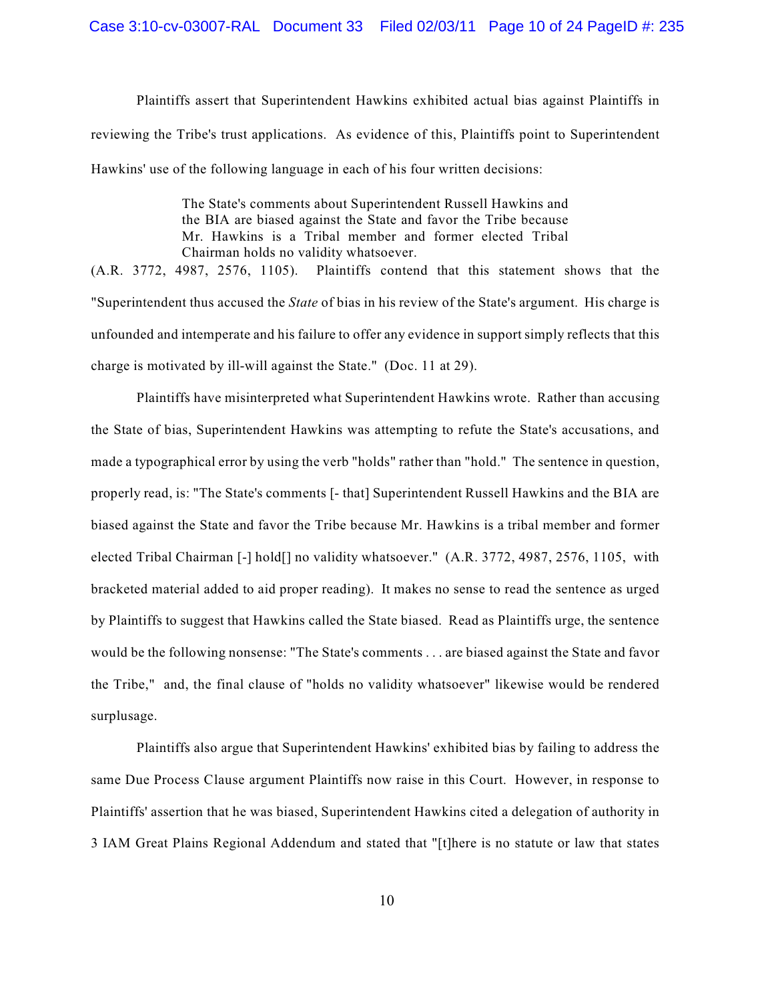Plaintiffs assert that Superintendent Hawkins exhibited actual bias against Plaintiffs in reviewing the Tribe's trust applications. As evidence of this, Plaintiffs point to Superintendent Hawkins' use of the following language in each of his four written decisions:

> The State's comments about Superintendent Russell Hawkins and the BIA are biased against the State and favor the Tribe because Mr. Hawkins is a Tribal member and former elected Tribal Chairman holds no validity whatsoever.

(A.R. 3772, 4987, 2576, 1105). Plaintiffs contend that this statement shows that the "Superintendent thus accused the *State* of bias in his review of the State's argument. His charge is unfounded and intemperate and his failure to offer any evidence in support simply reflects that this charge is motivated by ill-will against the State." (Doc. 11 at 29).

Plaintiffs have misinterpreted what Superintendent Hawkins wrote. Rather than accusing the State of bias, Superintendent Hawkins was attempting to refute the State's accusations, and made a typographical error by using the verb "holds" rather than "hold." The sentence in question, properly read, is: "The State's comments [- that] Superintendent Russell Hawkins and the BIA are biased against the State and favor the Tribe because Mr. Hawkins is a tribal member and former elected Tribal Chairman [-] hold[] no validity whatsoever." (A.R. 3772, 4987, 2576, 1105, with bracketed material added to aid proper reading). It makes no sense to read the sentence as urged by Plaintiffs to suggest that Hawkins called the State biased. Read as Plaintiffs urge, the sentence would be the following nonsense: "The State's comments . . . are biased against the State and favor the Tribe," and, the final clause of "holds no validity whatsoever" likewise would be rendered surplusage.

Plaintiffs also argue that Superintendent Hawkins' exhibited bias by failing to address the same Due Process Clause argument Plaintiffs now raise in this Court. However, in response to Plaintiffs' assertion that he was biased, Superintendent Hawkins cited a delegation of authority in 3 IAM Great Plains Regional Addendum and stated that "[t]here is no statute or law that states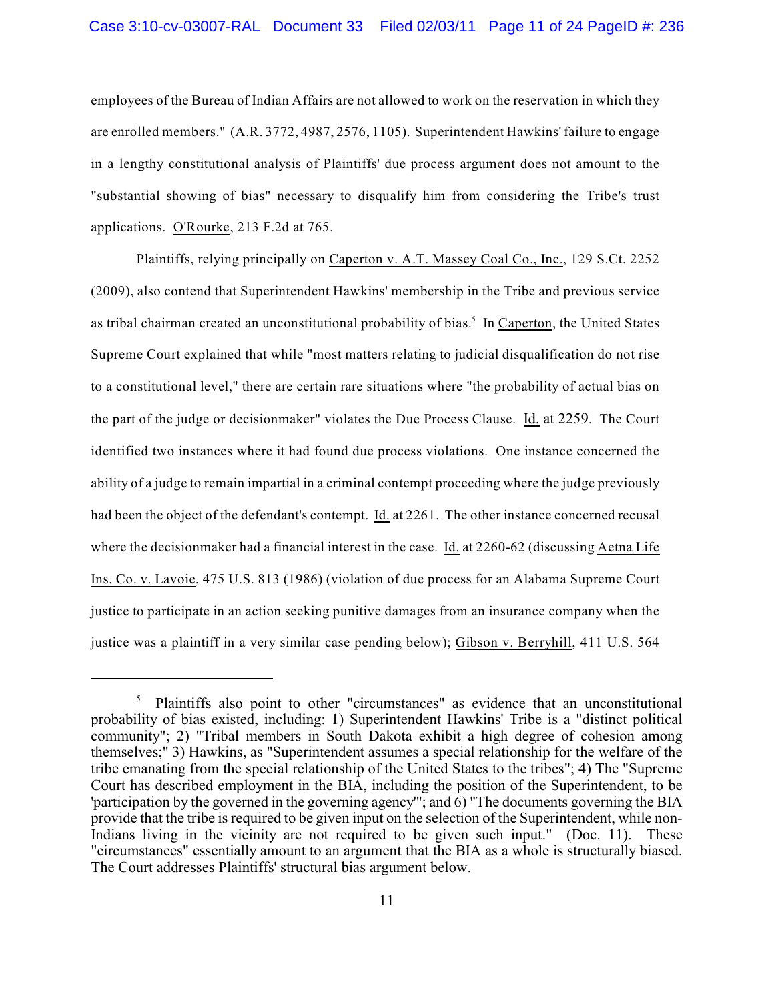employees of the Bureau of Indian Affairs are not allowed to work on the reservation in which they are enrolled members." (A.R. 3772, 4987, 2576, 1105). Superintendent Hawkins' failure to engage in a lengthy constitutional analysis of Plaintiffs' due process argument does not amount to the "substantial showing of bias" necessary to disqualify him from considering the Tribe's trust applications. O'Rourke, 213 F.2d at 765.

Plaintiffs, relying principally on Caperton v. A.T. Massey Coal Co., Inc., 129 S.Ct. 2252 (2009), also contend that Superintendent Hawkins' membership in the Tribe and previous service as tribal chairman created an unconstitutional probability of bias.<sup>5</sup> In Caperton, the United States Supreme Court explained that while "most matters relating to judicial disqualification do not rise to a constitutional level," there are certain rare situations where "the probability of actual bias on the part of the judge or decisionmaker" violates the Due Process Clause. Id. at 2259. The Court identified two instances where it had found due process violations. One instance concerned the ability of a judge to remain impartial in a criminal contempt proceeding where the judge previously had been the object of the defendant's contempt. Id. at 2261. The other instance concerned recusal where the decisionmaker had a financial interest in the case. Id. at 2260-62 (discussing Aetna Life Ins. Co. v. Lavoie, 475 U.S. 813 (1986) (violation of due process for an Alabama Supreme Court justice to participate in an action seeking punitive damages from an insurance company when the justice was a plaintiff in a very similar case pending below); Gibson v. Berryhill, 411 U.S. 564

<sup>&</sup>lt;sup>5</sup> Plaintiffs also point to other "circumstances" as evidence that an unconstitutional probability of bias existed, including: 1) Superintendent Hawkins' Tribe is a "distinct political community"; 2) "Tribal members in South Dakota exhibit a high degree of cohesion among themselves;" 3) Hawkins, as "Superintendent assumes a special relationship for the welfare of the tribe emanating from the special relationship of the United States to the tribes"; 4) The "Supreme Court has described employment in the BIA, including the position of the Superintendent, to be 'participation by the governed in the governing agency'"; and 6) "The documents governing the BIA provide that the tribe is required to be given input on the selection of the Superintendent, while non-Indians living in the vicinity are not required to be given such input." (Doc. 11). These "circumstances" essentially amount to an argument that the BIA as a whole is structurally biased. The Court addresses Plaintiffs' structural bias argument below.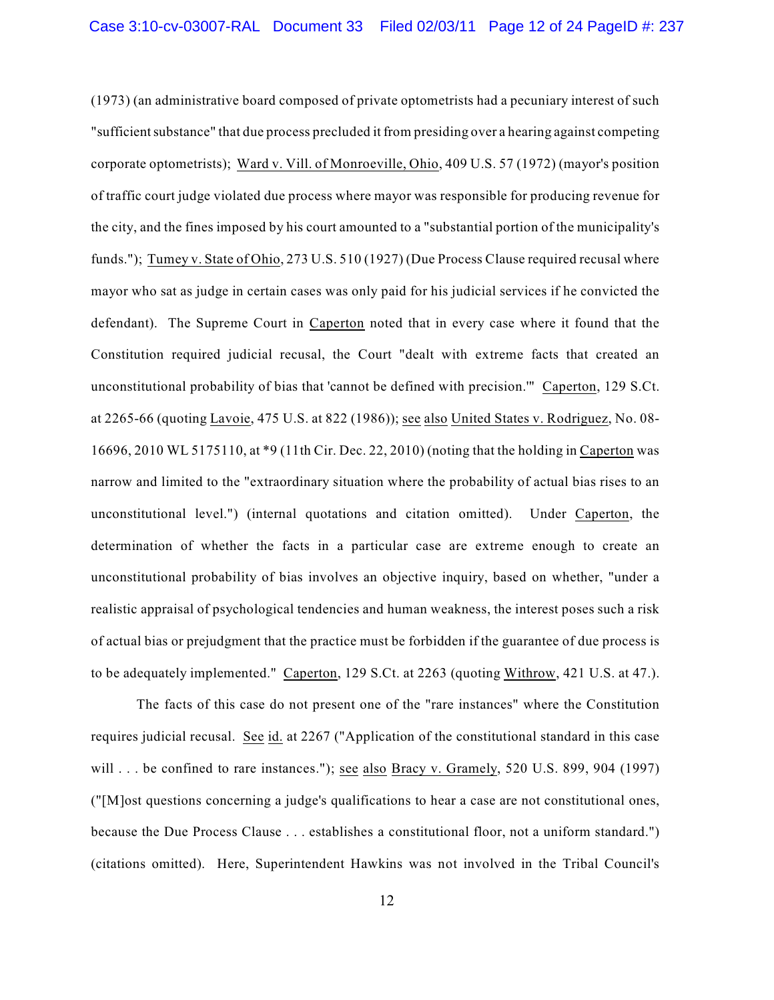(1973) (an administrative board composed of private optometrists had a pecuniary interest of such "sufficient substance" that due process precluded it from presiding over a hearing against competing corporate optometrists); Ward v. Vill. of Monroeville, Ohio, 409 U.S. 57 (1972) (mayor's position of traffic court judge violated due process where mayor was responsible for producing revenue for the city, and the fines imposed by his court amounted to a "substantial portion of the municipality's funds."); Tumey v. State of Ohio, 273 U.S. 510 (1927) (Due Process Clause required recusal where mayor who sat as judge in certain cases was only paid for his judicial services if he convicted the defendant). The Supreme Court in Caperton noted that in every case where it found that the Constitution required judicial recusal, the Court "dealt with extreme facts that created an unconstitutional probability of bias that 'cannot be defined with precision.'" Caperton, 129 S.Ct. at 2265-66 (quoting Lavoie, 475 U.S. at 822 (1986)); see also United States v. Rodriguez, No. 08- 16696, 2010 WL 5175110, at \*9 (11th Cir. Dec. 22, 2010) (noting that the holding in Caperton was narrow and limited to the "extraordinary situation where the probability of actual bias rises to an unconstitutional level.") (internal quotations and citation omitted). Under Caperton, the determination of whether the facts in a particular case are extreme enough to create an unconstitutional probability of bias involves an objective inquiry, based on whether, "under a realistic appraisal of psychological tendencies and human weakness, the interest poses such a risk of actual bias or prejudgment that the practice must be forbidden if the guarantee of due process is to be adequately implemented." Caperton, 129 S.Ct. at 2263 (quoting Withrow, 421 U.S. at 47.).

The facts of this case do not present one of the "rare instances" where the Constitution requires judicial recusal. See id. at 2267 ("Application of the constitutional standard in this case will . . . be confined to rare instances."); see also Bracy v. Gramely, 520 U.S. 899, 904 (1997) ("[M]ost questions concerning a judge's qualifications to hear a case are not constitutional ones, because the Due Process Clause . . . establishes a constitutional floor, not a uniform standard.") (citations omitted). Here, Superintendent Hawkins was not involved in the Tribal Council's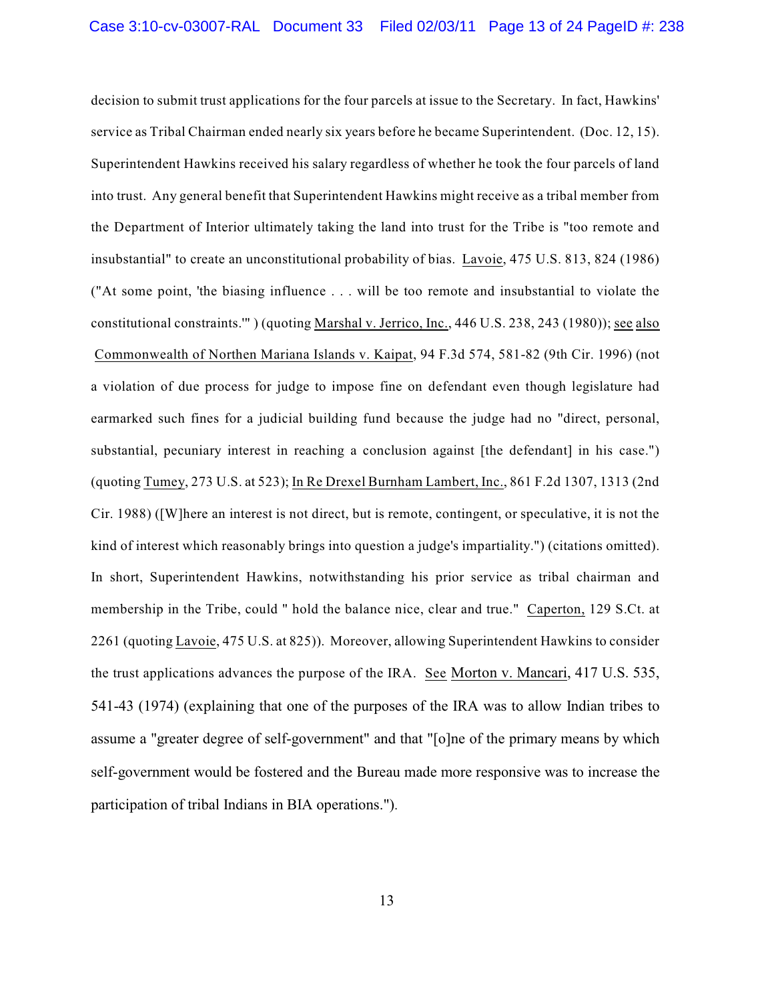decision to submit trust applications for the four parcels at issue to the Secretary. In fact, Hawkins' service as Tribal Chairman ended nearly six years before he became Superintendent. (Doc. 12, 15). Superintendent Hawkins received his salary regardless of whether he took the four parcels of land into trust. Any general benefit that Superintendent Hawkins might receive as a tribal member from the Department of Interior ultimately taking the land into trust for the Tribe is "too remote and insubstantial" to create an unconstitutional probability of bias. Lavoie, 475 U.S. 813, 824 (1986) ("At some point, 'the biasing influence . . . will be too remote and insubstantial to violate the constitutional constraints.'" ) (quoting Marshal v. Jerrico, Inc., 446 U.S. 238, 243 (1980)); see also Commonwealth of Northen Mariana Islands v. Kaipat, 94 F.3d 574, 581-82 (9th Cir. 1996) (not a violation of due process for judge to impose fine on defendant even though legislature had earmarked such fines for a judicial building fund because the judge had no "direct, personal, substantial, pecuniary interest in reaching a conclusion against [the defendant] in his case.") (quoting Tumey, 273 U.S. at 523); In Re Drexel Burnham Lambert, Inc., 861 F.2d 1307, 1313 (2nd Cir. 1988) ([W]here an interest is not direct, but is remote, contingent, or speculative, it is not the kind of interest which reasonably brings into question a judge's impartiality.") (citations omitted). In short, Superintendent Hawkins, notwithstanding his prior service as tribal chairman and membership in the Tribe, could " hold the balance nice, clear and true." Caperton, 129 S.Ct. at 2261 (quoting Lavoie, 475 U.S. at 825)). Moreover, allowing Superintendent Hawkins to consider the trust applications advances the purpose of the IRA. See Morton v. Mancari, 417 U.S. 535, 541-43 (1974) (explaining that one of the purposes of the IRA was to allow Indian tribes to assume a "greater degree of self-government" and that "[o]ne of the primary means by which self-government would be fostered and the Bureau made more responsive was to increase the participation of tribal Indians in BIA operations.").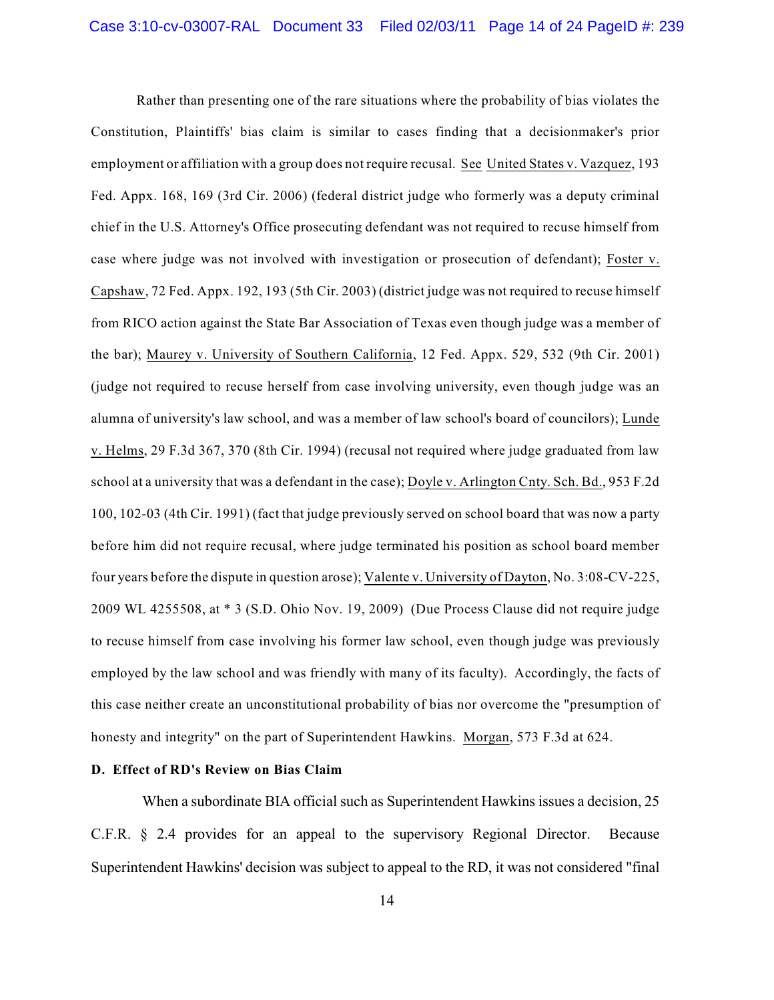Rather than presenting one of the rare situations where the probability of bias violates the Constitution, Plaintiffs' bias claim is similar to cases finding that a decisionmaker's prior employment or affiliation with a group does not require recusal. See United States v. Vazquez, 193 Fed. Appx. 168, 169 (3rd Cir. 2006) (federal district judge who formerly was a deputy criminal chief in the U.S. Attorney's Office prosecuting defendant was not required to recuse himself from case where judge was not involved with investigation or prosecution of defendant); Foster v. Capshaw, 72 Fed. Appx. 192, 193 (5th Cir. 2003) (district judge was not required to recuse himself from RICO action against the State Bar Association of Texas even though judge was a member of the bar); Maurey v. University of Southern California, 12 Fed. Appx. 529, 532 (9th Cir. 2001) (judge not required to recuse herself from case involving university, even though judge was an alumna of university's law school, and was a member of law school's board of councilors); Lunde v. Helms, 29 F.3d 367, 370 (8th Cir. 1994) (recusal not required where judge graduated from law school at a university that was a defendant in the case); Doyle v. Arlington Cnty. Sch. Bd., 953 F.2d 100, 102-03 (4th Cir. 1991) (fact that judge previously served on school board that was now a party before him did not require recusal, where judge terminated his position as school board member four years before the dispute in question arose); Valente v. University of Dayton, No. 3:08-CV-225, 2009 WL 4255508, at \* 3 (S.D. Ohio Nov. 19, 2009) (Due Process Clause did not require judge to recuse himself from case involving his former law school, even though judge was previously employed by the law school and was friendly with many of its faculty). Accordingly, the facts of this case neither create an unconstitutional probability of bias nor overcome the "presumption of honesty and integrity" on the part of Superintendent Hawkins. Morgan, 573 F.3d at 624.

### **D. Effect of RD's Review on Bias Claim**

When a subordinate BIA official such as Superintendent Hawkins issues a decision, 25 C.F.R. § 2.4 provides for an appeal to the supervisory Regional Director. Because Superintendent Hawkins' decision was subject to appeal to the RD, it was not considered "final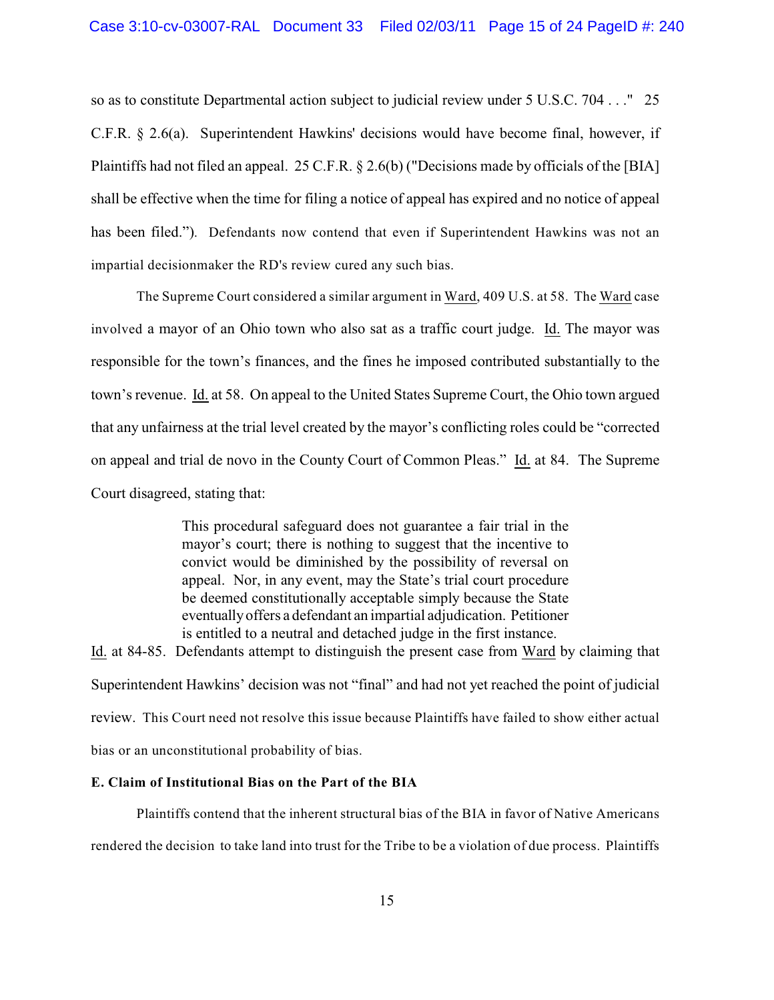so as to constitute Departmental action subject to judicial review under 5 U.S.C. 704 . . ." 25 C.F.R. § 2.6(a). Superintendent Hawkins' decisions would have become final, however, if Plaintiffs had not filed an appeal. 25 C.F.R. § 2.6(b) ("Decisions made by officials of the [BIA] shall be effective when the time for filing a notice of appeal has expired and no notice of appeal has been filed."). Defendants now contend that even if Superintendent Hawkins was not an impartial decisionmaker the RD's review cured any such bias.

The Supreme Court considered a similar argument in Ward, 409 U.S. at 58. The Ward case involved a mayor of an Ohio town who also sat as a traffic court judge. Id. The mayor was responsible for the town's finances, and the fines he imposed contributed substantially to the town's revenue. Id. at 58. On appeal to the United States Supreme Court, the Ohio town argued that any unfairness at the trial level created by the mayor's conflicting roles could be "corrected on appeal and trial de novo in the County Court of Common Pleas." Id. at 84. The Supreme Court disagreed, stating that:

> This procedural safeguard does not guarantee a fair trial in the mayor's court; there is nothing to suggest that the incentive to convict would be diminished by the possibility of reversal on appeal. Nor, in any event, may the State's trial court procedure be deemed constitutionally acceptable simply because the State eventually offers a defendant an impartial adjudication. Petitioner is entitled to a neutral and detached judge in the first instance.

Id. at 84-85. Defendants attempt to distinguish the present case from Ward by claiming that Superintendent Hawkins' decision was not "final" and had not yet reached the point of judicial review. This Court need not resolve this issue because Plaintiffs have failed to show either actual bias or an unconstitutional probability of bias.

### **E. Claim of Institutional Bias on the Part of the BIA**

Plaintiffs contend that the inherent structural bias of the BIA in favor of Native Americans rendered the decision to take land into trust for the Tribe to be a violation of due process. Plaintiffs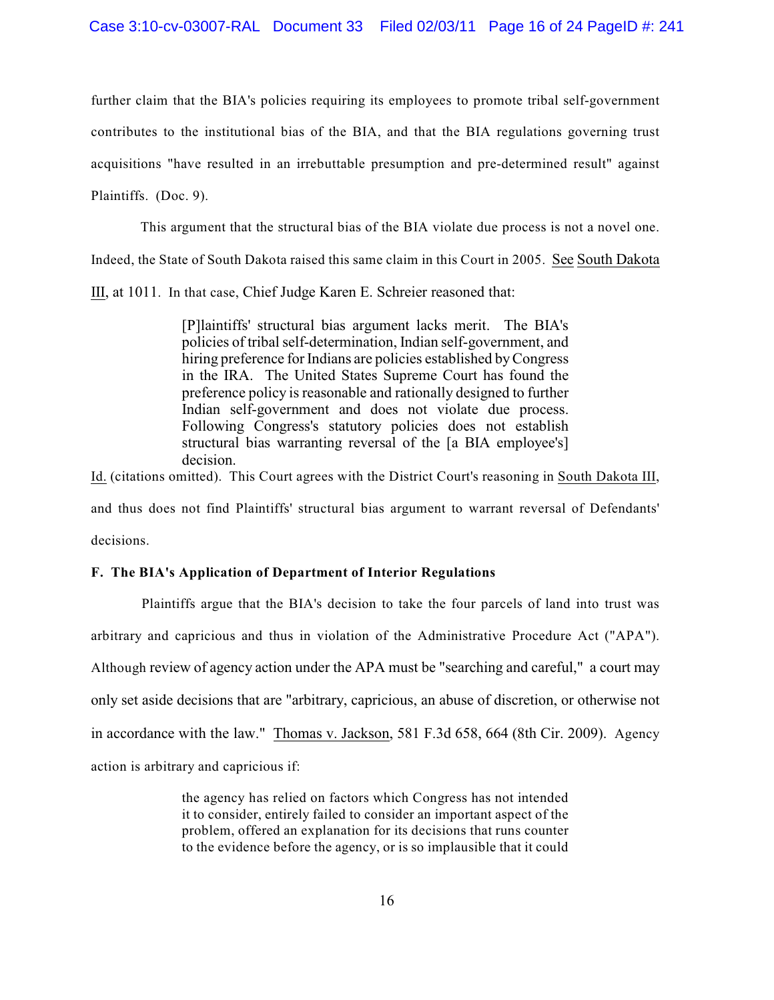further claim that the BIA's policies requiring its employees to promote tribal self-government contributes to the institutional bias of the BIA, and that the BIA regulations governing trust acquisitions "have resulted in an irrebuttable presumption and pre-determined result" against Plaintiffs. (Doc. 9).

This argument that the structural bias of the BIA violate due process is not a novel one.

Indeed, the State of South Dakota raised this same claim in this Court in 2005. See South Dakota

III, at 1011. In that case, Chief Judge Karen E. Schreier reasoned that:

[P]laintiffs' structural bias argument lacks merit. The BIA's policies of tribal self-determination, Indian self-government, and hiring preference for Indians are policies established by Congress in the IRA. The United States Supreme Court has found the preference policy is reasonable and rationally designed to further Indian self-government and does not violate due process. Following Congress's statutory policies does not establish structural bias warranting reversal of the [a BIA employee's] decision.

Id. (citations omitted). This Court agrees with the District Court's reasoning in South Dakota III, and thus does not find Plaintiffs' structural bias argument to warrant reversal of Defendants' decisions.

# **F. The BIA's Application of Department of Interior Regulations**

 Plaintiffs argue that the BIA's decision to take the four parcels of land into trust was arbitrary and capricious and thus in violation of the Administrative Procedure Act ("APA"). Although review of agency action under the APA must be "searching and careful," a court may only set aside decisions that are "arbitrary, capricious, an abuse of discretion, or otherwise not in accordance with the law." Thomas v. Jackson, 581 F.3d 658, 664 (8th Cir. 2009). Agency action is arbitrary and capricious if:

> the agency has relied on factors which Congress has not intended it to consider, entirely failed to consider an important aspect of the problem, offered an explanation for its decisions that runs counter to the evidence before the agency, or is so implausible that it could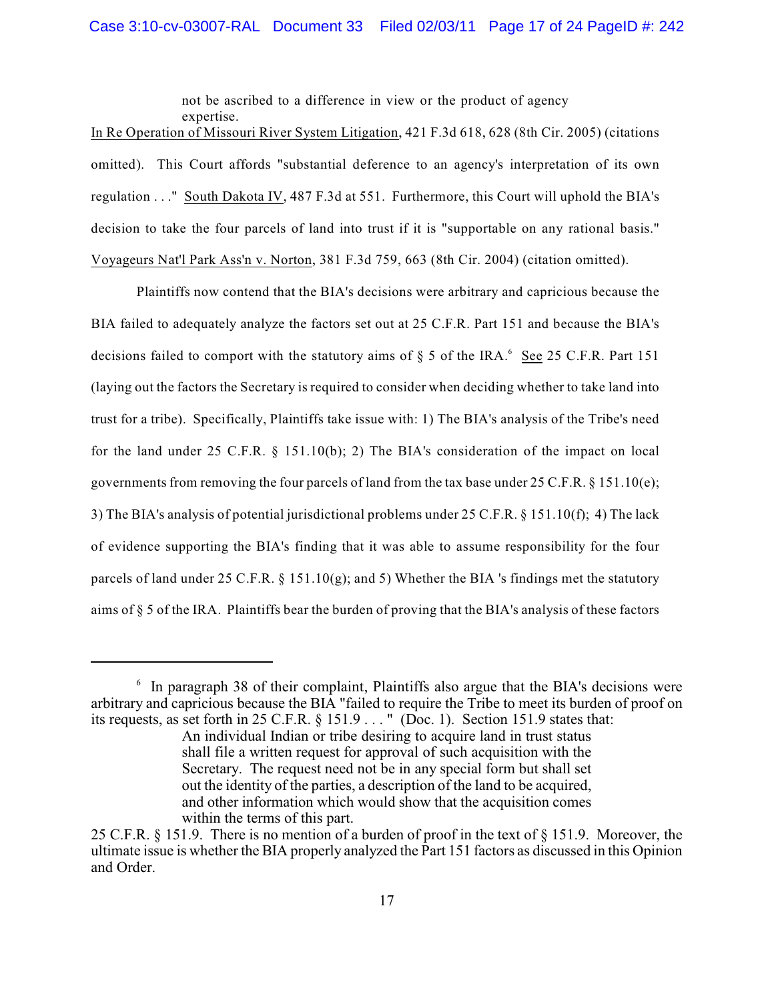not be ascribed to a difference in view or the product of agency expertise.

In Re Operation of Missouri River System Litigation, 421 F.3d 618, 628 (8th Cir. 2005) (citations omitted). This Court affords "substantial deference to an agency's interpretation of its own regulation . . ." South Dakota IV, 487 F.3d at 551. Furthermore, this Court will uphold the BIA's decision to take the four parcels of land into trust if it is "supportable on any rational basis." Voyageurs Nat'l Park Ass'n v. Norton, 381 F.3d 759, 663 (8th Cir. 2004) (citation omitted).

Plaintiffs now contend that the BIA's decisions were arbitrary and capricious because the BIA failed to adequately analyze the factors set out at 25 C.F.R. Part 151 and because the BIA's decisions failed to comport with the statutory aims of  $\S$  5 of the IRA. See 25 C.F.R. Part 151 (laying out the factors the Secretary is required to consider when deciding whether to take land into trust for a tribe). Specifically, Plaintiffs take issue with: 1) The BIA's analysis of the Tribe's need for the land under 25 C.F.R. § 151.10(b); 2) The BIA's consideration of the impact on local governments from removing the four parcels of land from the tax base under 25 C.F.R. § 151.10(e); 3) The BIA's analysis of potential jurisdictional problems under 25 C.F.R. § 151.10(f); 4) The lack of evidence supporting the BIA's finding that it was able to assume responsibility for the four parcels of land under 25 C.F.R. § 151.10(g); and 5) Whether the BIA 's findings met the statutory aims of § 5 of the IRA. Plaintiffs bear the burden of proving that the BIA's analysis of these factors

 $6\,$  In paragraph 38 of their complaint, Plaintiffs also argue that the BIA's decisions were arbitrary and capricious because the BIA "failed to require the Tribe to meet its burden of proof on its requests, as set forth in 25 C.F.R. § 151.9 . . . " (Doc. 1). Section 151.9 states that:

An individual Indian or tribe desiring to acquire land in trust status shall file a written request for approval of such acquisition with the Secretary. The request need not be in any special form but shall set out the identity of the parties, a description of the land to be acquired, and other information which would show that the acquisition comes within the terms of this part.

<sup>25</sup> C.F.R. § 151.9. There is no mention of a burden of proof in the text of § 151.9. Moreover, the ultimate issue is whether the BIA properly analyzed the Part 151 factors as discussed in this Opinion and Order.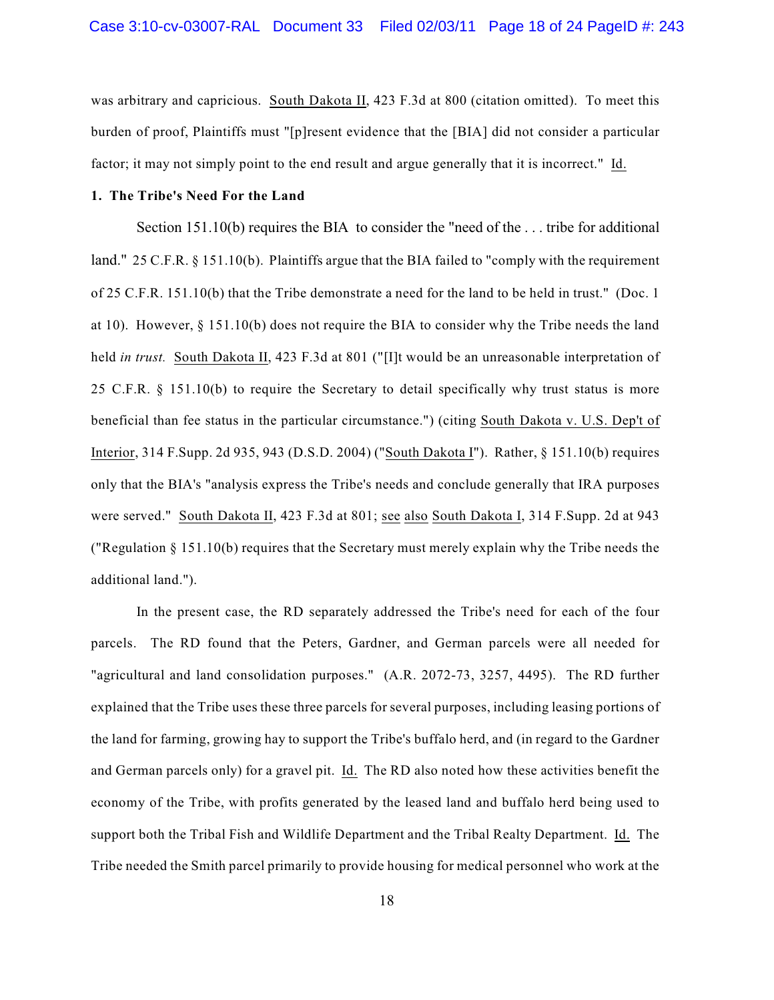was arbitrary and capricious. South Dakota II, 423 F.3d at 800 (citation omitted). To meet this burden of proof, Plaintiffs must "[p]resent evidence that the [BIA] did not consider a particular factor; it may not simply point to the end result and argue generally that it is incorrect." Id.

### **1. The Tribe's Need For the Land**

Section 151.10(b) requires the BIA to consider the "need of the ... tribe for additional land."25 C.F.R. § 151.10(b). Plaintiffs argue that the BIA failed to "comply with the requirement of 25 C.F.R. 151.10(b) that the Tribe demonstrate a need for the land to be held in trust." (Doc. 1 at 10). However, § 151.10(b) does not require the BIA to consider why the Tribe needs the land held *in trust.* South Dakota II, 423 F.3d at 801 ("[I]t would be an unreasonable interpretation of 25 C.F.R. § 151.10(b) to require the Secretary to detail specifically why trust status is more beneficial than fee status in the particular circumstance.") (citing South Dakota v. U.S. Dep't of Interior, 314 F.Supp. 2d 935, 943 (D.S.D. 2004) ("South Dakota I"). Rather, § 151.10(b) requires only that the BIA's "analysis express the Tribe's needs and conclude generally that IRA purposes were served." South Dakota II, 423 F.3d at 801; see also South Dakota I, 314 F.Supp. 2d at 943 ("Regulation § 151.10(b) requires that the Secretary must merely explain why the Tribe needs the additional land.").

In the present case, the RD separately addressed the Tribe's need for each of the four parcels. The RD found that the Peters, Gardner, and German parcels were all needed for "agricultural and land consolidation purposes." (A.R. 2072-73, 3257, 4495). The RD further explained that the Tribe uses these three parcels for several purposes, including leasing portions of the land for farming, growing hay to support the Tribe's buffalo herd, and (in regard to the Gardner and German parcels only) for a gravel pit. Id. The RD also noted how these activities benefit the economy of the Tribe, with profits generated by the leased land and buffalo herd being used to support both the Tribal Fish and Wildlife Department and the Tribal Realty Department. Id. The Tribe needed the Smith parcel primarily to provide housing for medical personnel who work at the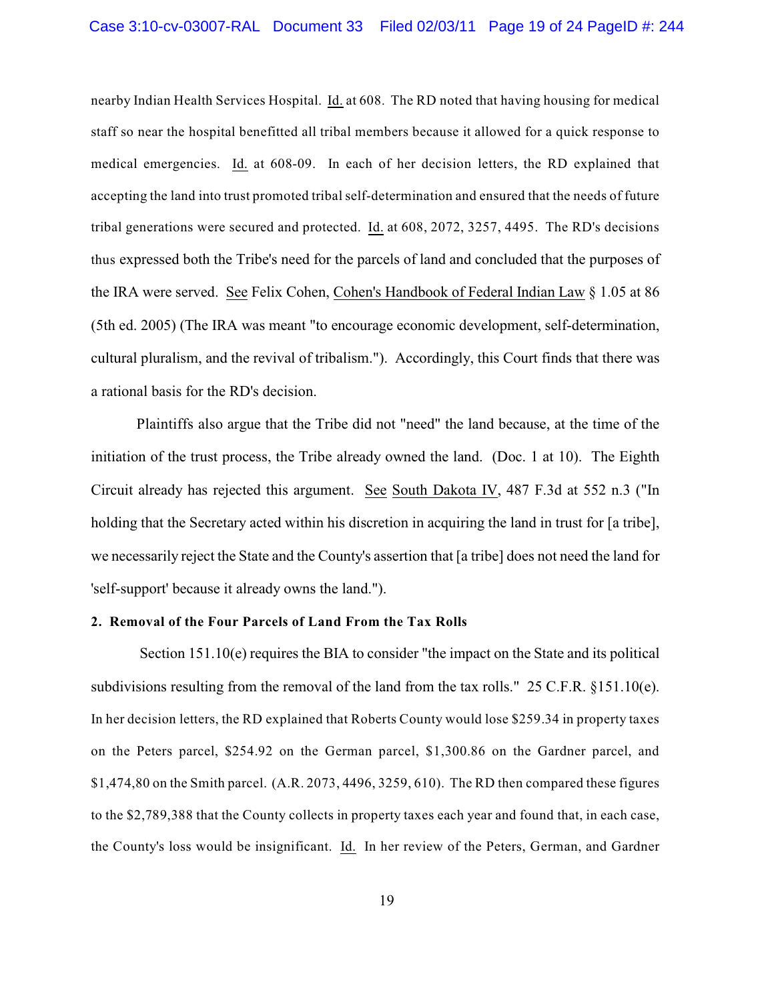nearby Indian Health Services Hospital. Id. at 608. The RD noted that having housing for medical staff so near the hospital benefitted all tribal members because it allowed for a quick response to medical emergencies. Id. at 608-09. In each of her decision letters, the RD explained that accepting the land into trust promoted tribal self-determination and ensured that the needs of future tribal generations were secured and protected. Id. at 608, 2072, 3257, 4495. The RD's decisions thus expressed both the Tribe's need for the parcels of land and concluded that the purposes of the IRA were served. See Felix Cohen, Cohen's Handbook of Federal Indian Law § 1.05 at 86 (5th ed. 2005) (The IRA was meant "to encourage economic development, self-determination, cultural pluralism, and the revival of tribalism."). Accordingly, this Court finds that there was a rational basis for the RD's decision.

Plaintiffs also argue that the Tribe did not "need" the land because, at the time of the initiation of the trust process, the Tribe already owned the land. (Doc. 1 at 10). The Eighth Circuit already has rejected this argument. See South Dakota IV, 487 F.3d at 552 n.3 ("In holding that the Secretary acted within his discretion in acquiring the land in trust for [a tribe], we necessarily reject the State and the County's assertion that [a tribe] does not need the land for 'self-support' because it already owns the land.").

# **2. Removal of the Four Parcels of Land From the Tax Rolls**

 Section 151.10(e) requires the BIA to consider "the impact on the State and its political subdivisions resulting from the removal of the land from the tax rolls." 25 C.F.R. §151.10(e). In her decision letters, the RD explained that Roberts County would lose \$259.34 in property taxes on the Peters parcel, \$254.92 on the German parcel, \$1,300.86 on the Gardner parcel, and \$1,474,80 on the Smith parcel. (A.R. 2073, 4496, 3259, 610). The RD then compared these figures to the \$2,789,388 that the County collects in property taxes each year and found that, in each case, the County's loss would be insignificant. Id. In her review of the Peters, German, and Gardner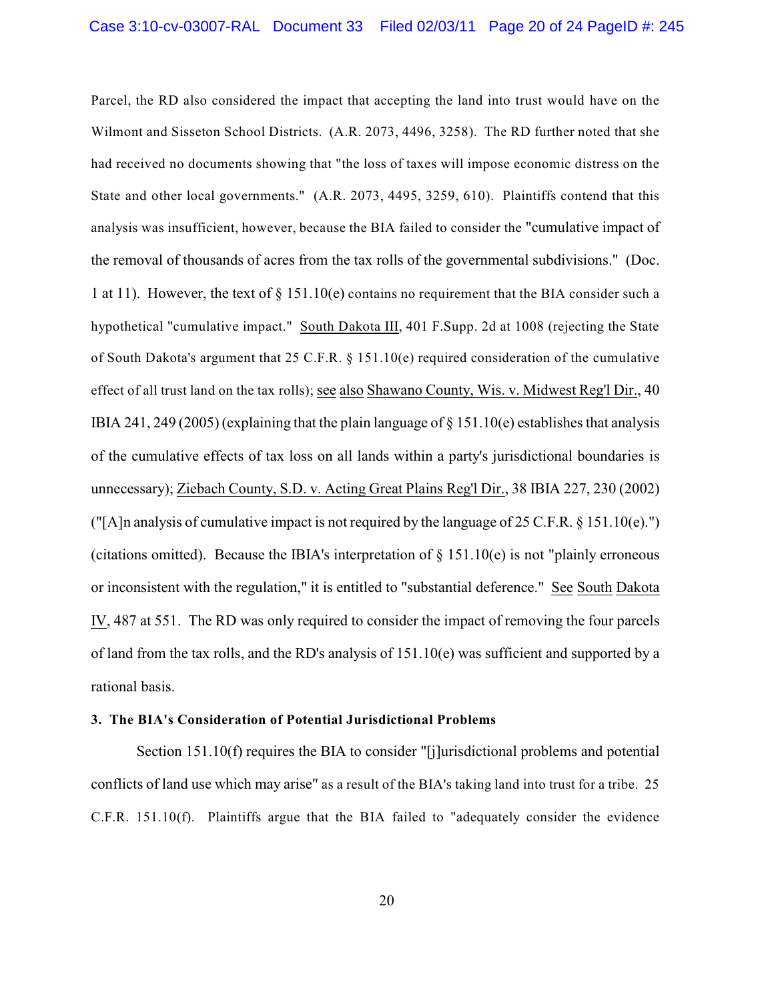Parcel, the RD also considered the impact that accepting the land into trust would have on the Wilmont and Sisseton School Districts. (A.R. 2073, 4496, 3258). The RD further noted that she had received no documents showing that "the loss of taxes will impose economic distress on the State and other local governments." (A.R. 2073, 4495, 3259, 610). Plaintiffs contend that this analysis was insufficient, however, because the BIA failed to consider the "cumulative impact of the removal of thousands of acres from the tax rolls of the governmental subdivisions." (Doc. 1 at 11). However, the text of § 151.10(e) contains no requirement that the BIA consider such a hypothetical "cumulative impact." South Dakota III, 401 F.Supp. 2d at 1008 (rejecting the State of South Dakota's argument that 25 C.F.R. § 151.10(e) required consideration of the cumulative effect of all trust land on the tax rolls); see also Shawano County, Wis. v. Midwest Reg'l Dir., 40 IBIA 241, 249 (2005) (explaining that the plain language of  $\S$  151.10(e) establishes that analysis of the cumulative effects of tax loss on all lands within a party's jurisdictional boundaries is unnecessary); Ziebach County, S.D. v. Acting Great Plains Reg'l Dir., 38 IBIA 227, 230 (2002) ("[A]n analysis of cumulative impact is not required by the language of 25 C.F.R.  $\S$  151.10(e).") (citations omitted). Because the IBIA's interpretation of  $\S$  151.10(e) is not "plainly erroneous or inconsistent with the regulation," it is entitled to "substantial deference." See South Dakota IV, 487 at 551. The RD was only required to consider the impact of removing the four parcels of land from the tax rolls, and the RD's analysis of 151.10(e) was sufficient and supported by a rational basis.

#### **3. The BIA's Consideration of Potential Jurisdictional Problems**

Section 151.10(f) requires the BIA to consider "[j]urisdictional problems and potential conflicts of land use which may arise" as a result of the BIA's taking land into trust for a tribe. 25 C.F.R. 151.10(f). Plaintiffs argue that the BIA failed to "adequately consider the evidence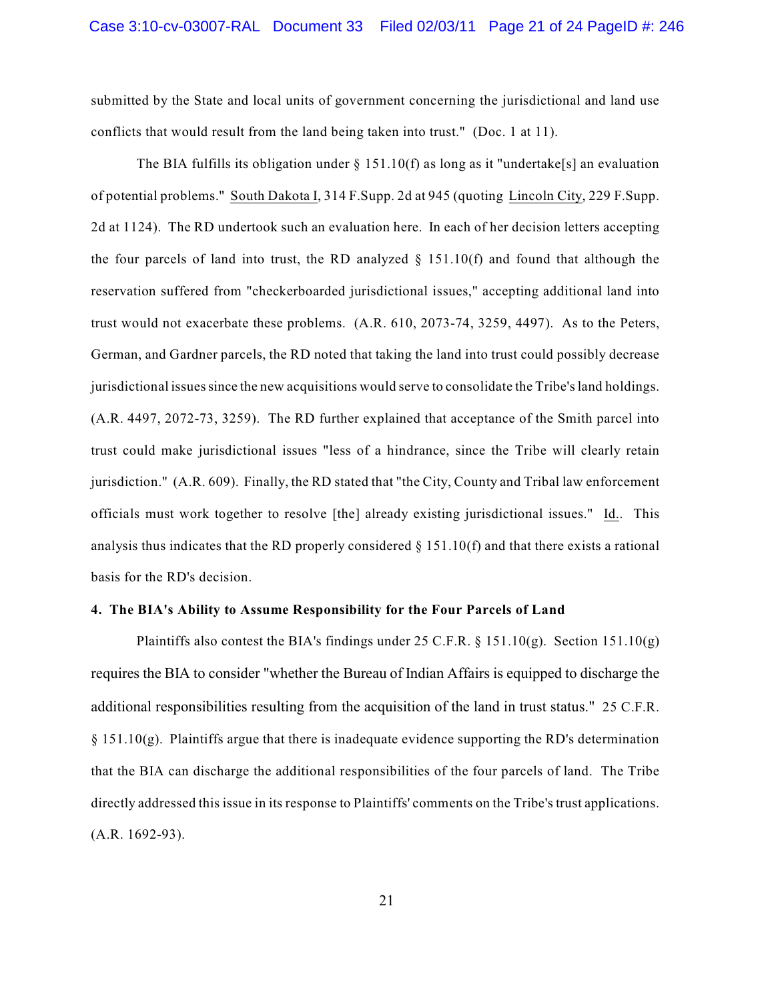submitted by the State and local units of government concerning the jurisdictional and land use conflicts that would result from the land being taken into trust." (Doc. 1 at 11).

The BIA fulfills its obligation under  $\S 151.10(f)$  as long as it "undertake[s] an evaluation of potential problems." South Dakota I, 314 F.Supp. 2d at 945 (quoting Lincoln City, 229 F.Supp. 2d at 1124). The RD undertook such an evaluation here. In each of her decision letters accepting the four parcels of land into trust, the RD analyzed  $\S$  151.10(f) and found that although the reservation suffered from "checkerboarded jurisdictional issues," accepting additional land into trust would not exacerbate these problems. (A.R. 610, 2073-74, 3259, 4497). As to the Peters, German, and Gardner parcels, the RD noted that taking the land into trust could possibly decrease jurisdictional issues since the new acquisitions would serve to consolidate the Tribe's land holdings. (A.R. 4497, 2072-73, 3259). The RD further explained that acceptance of the Smith parcel into trust could make jurisdictional issues "less of a hindrance, since the Tribe will clearly retain jurisdiction." (A.R. 609). Finally, the RD stated that "the City, County and Tribal law enforcement officials must work together to resolve [the] already existing jurisdictional issues." Id.. This analysis thus indicates that the RD properly considered § 151.10(f) and that there exists a rational basis for the RD's decision.

#### **4. The BIA's Ability to Assume Responsibility for the Four Parcels of Land**

Plaintiffs also contest the BIA's findings under 25 C.F.R.  $\S$  151.10(g). Section 151.10(g) requires the BIA to consider "whether the Bureau of Indian Affairs is equipped to discharge the additional responsibilities resulting from the acquisition of the land in trust status."25 C.F.R.  $§$  151.10(g). Plaintiffs argue that there is inadequate evidence supporting the RD's determination that the BIA can discharge the additional responsibilities of the four parcels of land. The Tribe directly addressed this issue in its response to Plaintiffs' comments on the Tribe's trust applications. (A.R. 1692-93).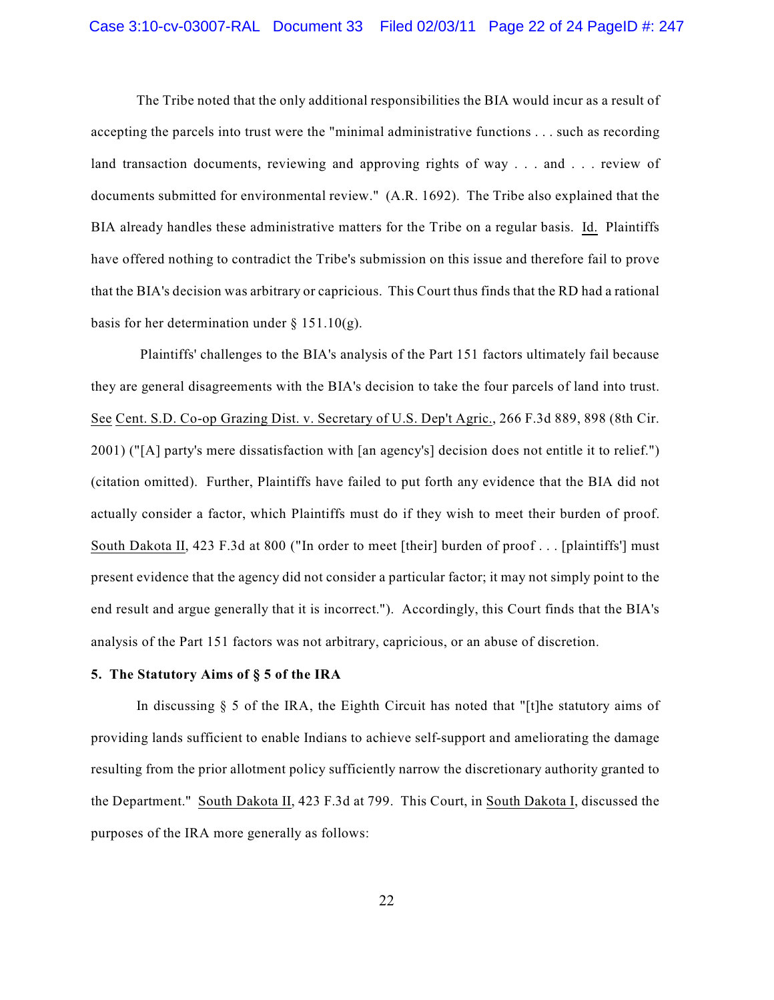The Tribe noted that the only additional responsibilities the BIA would incur as a result of accepting the parcels into trust were the "minimal administrative functions . . . such as recording land transaction documents, reviewing and approving rights of way . . . and . . . review of documents submitted for environmental review." (A.R. 1692). The Tribe also explained that the BIA already handles these administrative matters for the Tribe on a regular basis. Id. Plaintiffs have offered nothing to contradict the Tribe's submission on this issue and therefore fail to prove that the BIA's decision was arbitrary or capricious. This Court thus finds that the RD had a rational basis for her determination under  $\S 151.10(g)$ .

 Plaintiffs' challenges to the BIA's analysis of the Part 151 factors ultimately fail because they are general disagreements with the BIA's decision to take the four parcels of land into trust. See Cent. S.D. Co-op Grazing Dist. v. Secretary of U.S. Dep't Agric., 266 F.3d 889, 898 (8th Cir. 2001) ("[A] party's mere dissatisfaction with [an agency's] decision does not entitle it to relief.") (citation omitted). Further, Plaintiffs have failed to put forth any evidence that the BIA did not actually consider a factor, which Plaintiffs must do if they wish to meet their burden of proof. South Dakota II, 423 F.3d at 800 ("In order to meet [their] burden of proof . . . [plaintiffs'] must present evidence that the agency did not consider a particular factor; it may not simply point to the end result and argue generally that it is incorrect."). Accordingly, this Court finds that the BIA's analysis of the Part 151 factors was not arbitrary, capricious, or an abuse of discretion.

# **5. The Statutory Aims of § 5 of the IRA**

In discussing  $\S$  5 of the IRA, the Eighth Circuit has noted that "[t]he statutory aims of providing lands sufficient to enable Indians to achieve self-support and ameliorating the damage resulting from the prior allotment policy sufficiently narrow the discretionary authority granted to the Department." South Dakota II, 423 F.3d at 799. This Court, in South Dakota I, discussed the purposes of the IRA more generally as follows: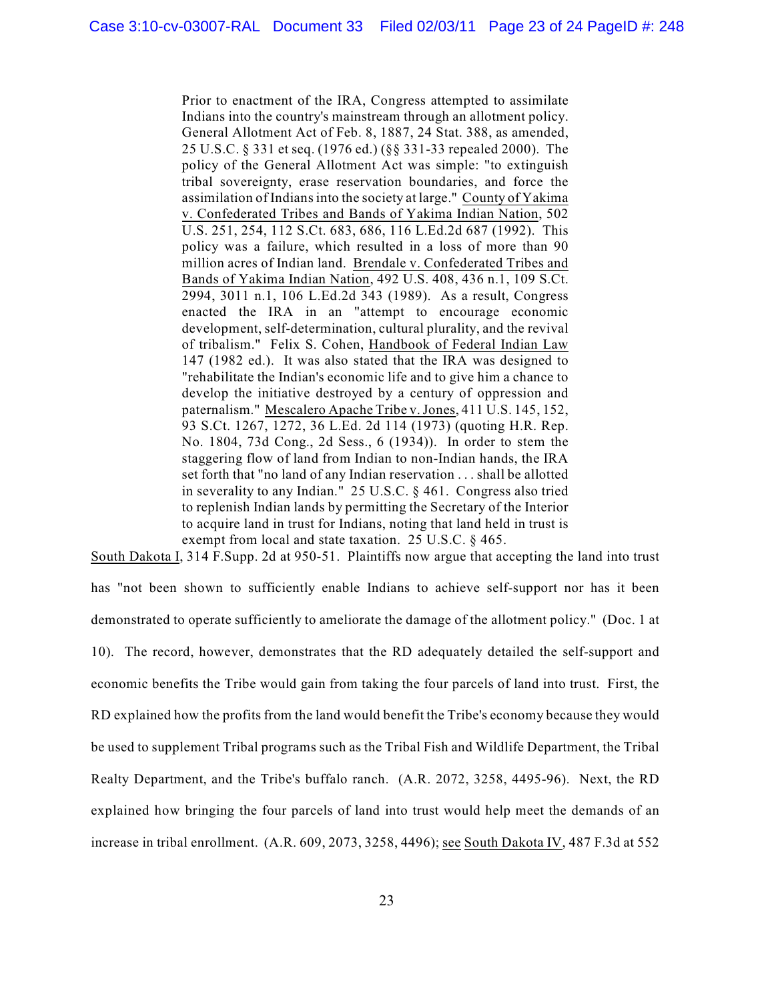Prior to enactment of the IRA, Congress attempted to assimilate Indians into the country's mainstream through an allotment policy. General Allotment Act of Feb. 8, 1887, 24 Stat. 388, as amended, 25 U.S.C. § 331 et seq. (1976 ed.) (§§ 331-33 repealed 2000). The policy of the General Allotment Act was simple: "to extinguish tribal sovereignty, erase reservation boundaries, and force the assimilation of Indians into the society at large." County of Yakima v. Confederated Tribes and Bands of Yakima Indian Nation, 502 U.S. 251, 254, 112 S.Ct. 683, 686, 116 L.Ed.2d 687 (1992). This policy was a failure, which resulted in a loss of more than 90 million acres of Indian land. Brendale v. Confederated Tribes and Bands of Yakima Indian Nation, 492 U.S. 408, 436 n.1, 109 S.Ct. 2994, 3011 n.1, 106 L.Ed.2d 343 (1989). As a result, Congress enacted the IRA in an "attempt to encourage economic development, self-determination, cultural plurality, and the revival of tribalism." Felix S. Cohen, Handbook of Federal Indian Law 147 (1982 ed.). It was also stated that the IRA was designed to "rehabilitate the Indian's economic life and to give him a chance to develop the initiative destroyed by a century of oppression and paternalism." Mescalero Apache Tribe v.Jones, 411 U.S. 145, 152, 93 S.Ct. 1267, 1272, 36 L.Ed. 2d 114 (1973) (quoting H.R. Rep. No. 1804, 73d Cong., 2d Sess., 6 (1934)). In order to stem the staggering flow of land from Indian to non-Indian hands, the IRA set forth that "no land of any Indian reservation . . . shall be allotted in severality to any Indian." 25 U.S.C. § 461. Congress also tried to replenish Indian lands by permitting the Secretary of the Interior to acquire land in trust for Indians, noting that land held in trust is exempt from local and state taxation. 25 U.S.C. § 465.

South Dakota I, 314 F.Supp. 2d at 950-51. Plaintiffs now argue that accepting the land into trust

has "not been shown to sufficiently enable Indians to achieve self-support nor has it been demonstrated to operate sufficiently to ameliorate the damage of the allotment policy." (Doc. 1 at 10). The record, however, demonstrates that the RD adequately detailed the self-support and economic benefits the Tribe would gain from taking the four parcels of land into trust. First, the RD explained how the profits from the land would benefit the Tribe's economy because they would be used to supplement Tribal programs such as the Tribal Fish and Wildlife Department, the Tribal Realty Department, and the Tribe's buffalo ranch. (A.R. 2072, 3258, 4495-96). Next, the RD explained how bringing the four parcels of land into trust would help meet the demands of an increase in tribal enrollment. (A.R. 609, 2073, 3258, 4496); see South Dakota IV, 487 F.3d at 552